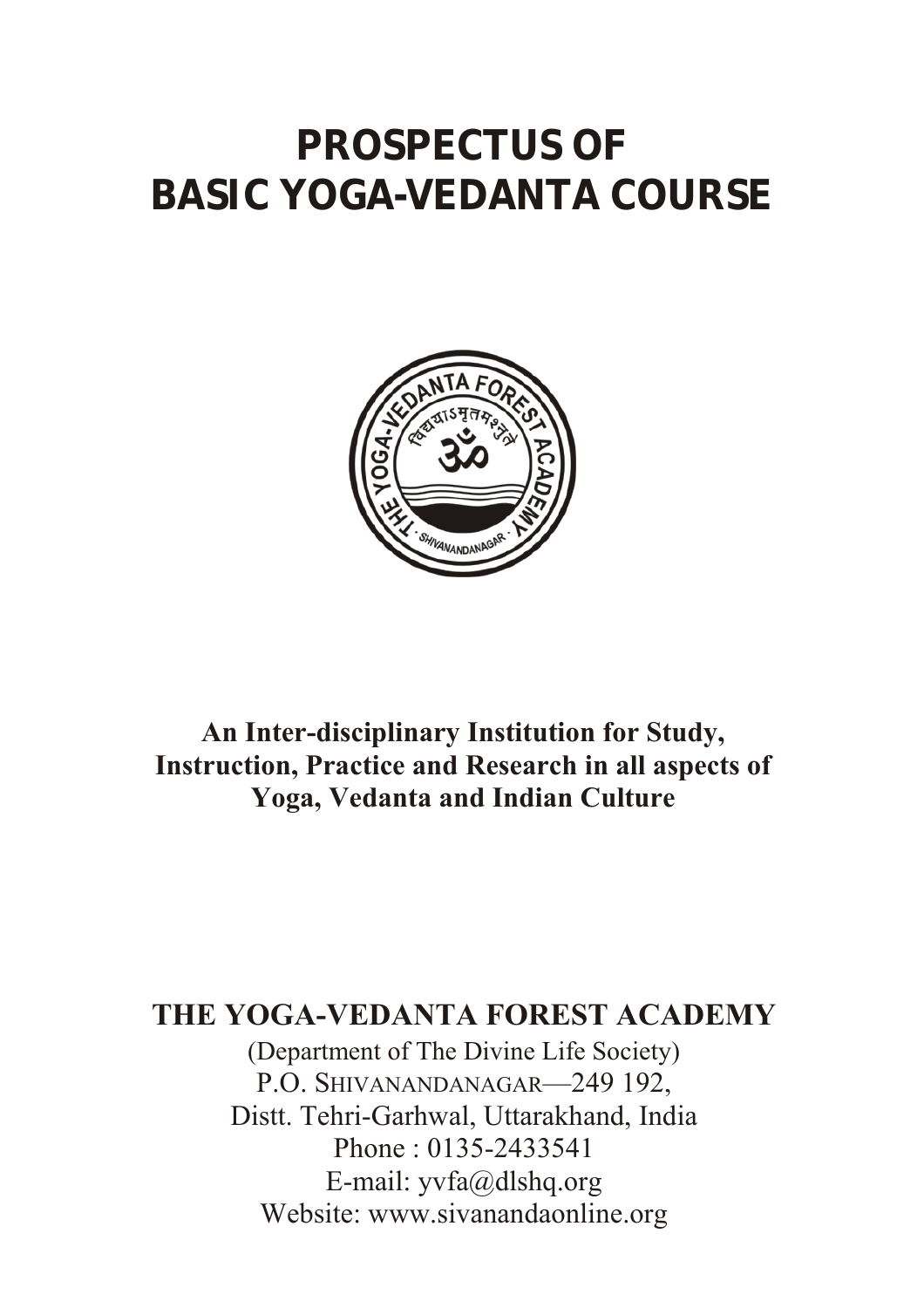# **PROSPECTUS OF BASIC YOGA-VEDANTA COURSE**



**An Inter-disciplinary Institution for Study, Instruction, Practice and Research in all aspects of Yoga, Vedanta and Indian Culture**

## **THE YOGA-VEDANTA FOREST ACADEMY**

(Department of The Divine Life Society) P.O. SHIVANANDANAGAR-249 192, Distt. Tehri-Garhwal, Uttarakhand, India Phone : 0135-2433541 E-mail: yvfa@dlshq.org Website: www.sivanandaonline.org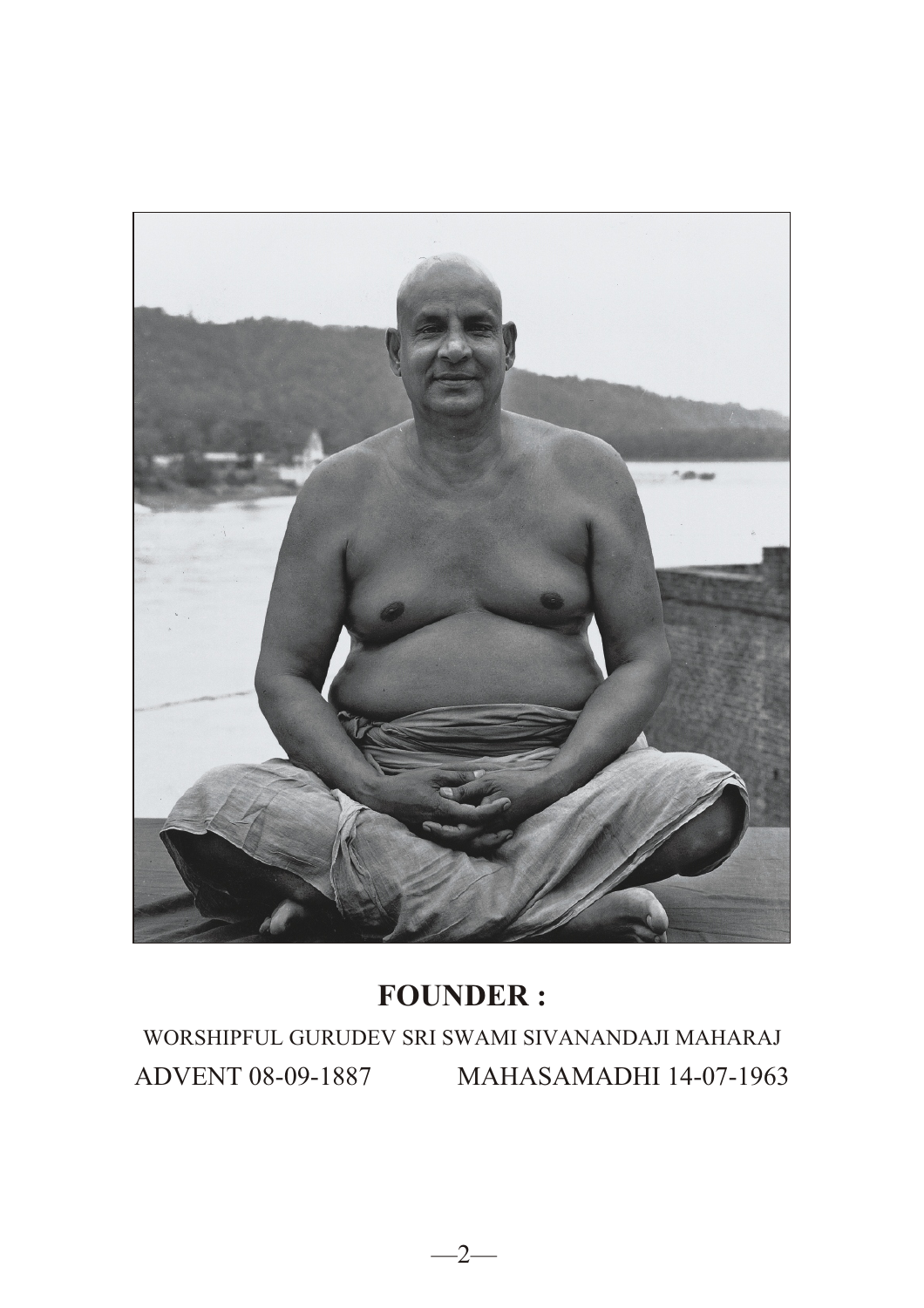

# **FOUNDER :**

WORSHIPFUL GURUDEV SRI SWAMI SIVANANDAJI MAHARAJ ADVENT 08-09-1887 MAHASAMADHI 14-07-1963

 $-2-$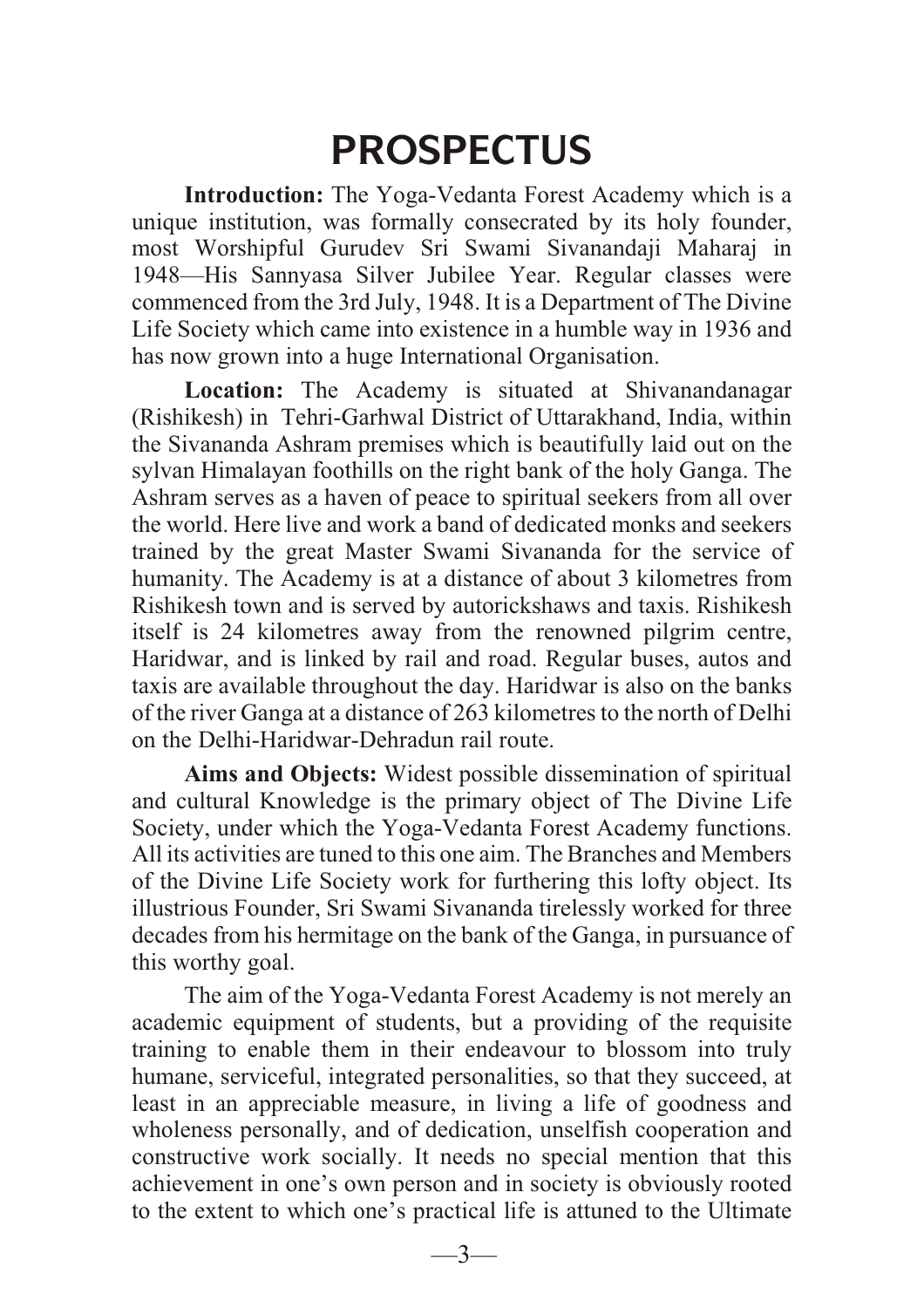# **PROSPECTUS**

**Introduction:** The Yoga-Vedanta Forest Academy which is a unique institution, was formally consecrated by its holy founder, most Worshipful Gurudev Sri Swami Sivanandaji Maharaj in 1948—His Sannyasa Silver Jubilee Year. Regular classes were commenced from the 3rd July, 1948. It is a Department of The Divine Life Society which came into existence in a humble way in 1936 and has now grown into a huge International Organisation.

**Location:** The Academy is situated at Shivanandanagar (Rishikesh) in Tehri-Garhwal District of Uttarakhand, India, within the Sivananda Ashram premises which is beautifully laid out on the sylvan Himalayan foothills on the right bank of the holy Ganga. The Ashram serves as a haven of peace to spiritual seekers from all over the world. Here live and work a band of dedicated monks and seekers trained by the great Master Swami Sivananda for the service of humanity. The Academy is at a distance of about 3 kilometres from Rishikesh town and is served by autorickshaws and taxis. Rishikesh itself is 24 kilometres away from the renowned pilgrim centre, Haridwar, and is linked by rail and road. Regular buses, autos and taxis are available throughout the day. Haridwar is also on the banks of the river Ganga at a distance of 263 kilometres to the north of Delhi on the Delhi-Haridwar-Dehradun rail route.

**Aims and Objects:** Widest possible dissemination of spiritual and cultural Knowledge is the primary object of The Divine Life Society, under which the Yoga-Vedanta Forest Academy functions. All its activities are tuned to this one aim. The Branches and Members of the Divine Life Society work for furthering this lofty object. Its illustrious Founder, Sri Swami Sivananda tirelessly worked for three decades from his hermitage on the bank of the Ganga, in pursuance of this worthy goal.

The aim of the Yoga-Vedanta Forest Academy is not merely an academic equipment of students, but a providing of the requisite training to enable them in their endeavour to blossom into truly humane, serviceful, integrated personalities, so that they succeed, at least in an appreciable measure, in living a life of goodness and wholeness personally, and of dedication, unselfish cooperation and constructive work socially. It needs no special mention that this achievement in one's own person and in society is obviously rooted to the extent to which one's practical life is attuned to the Ultimate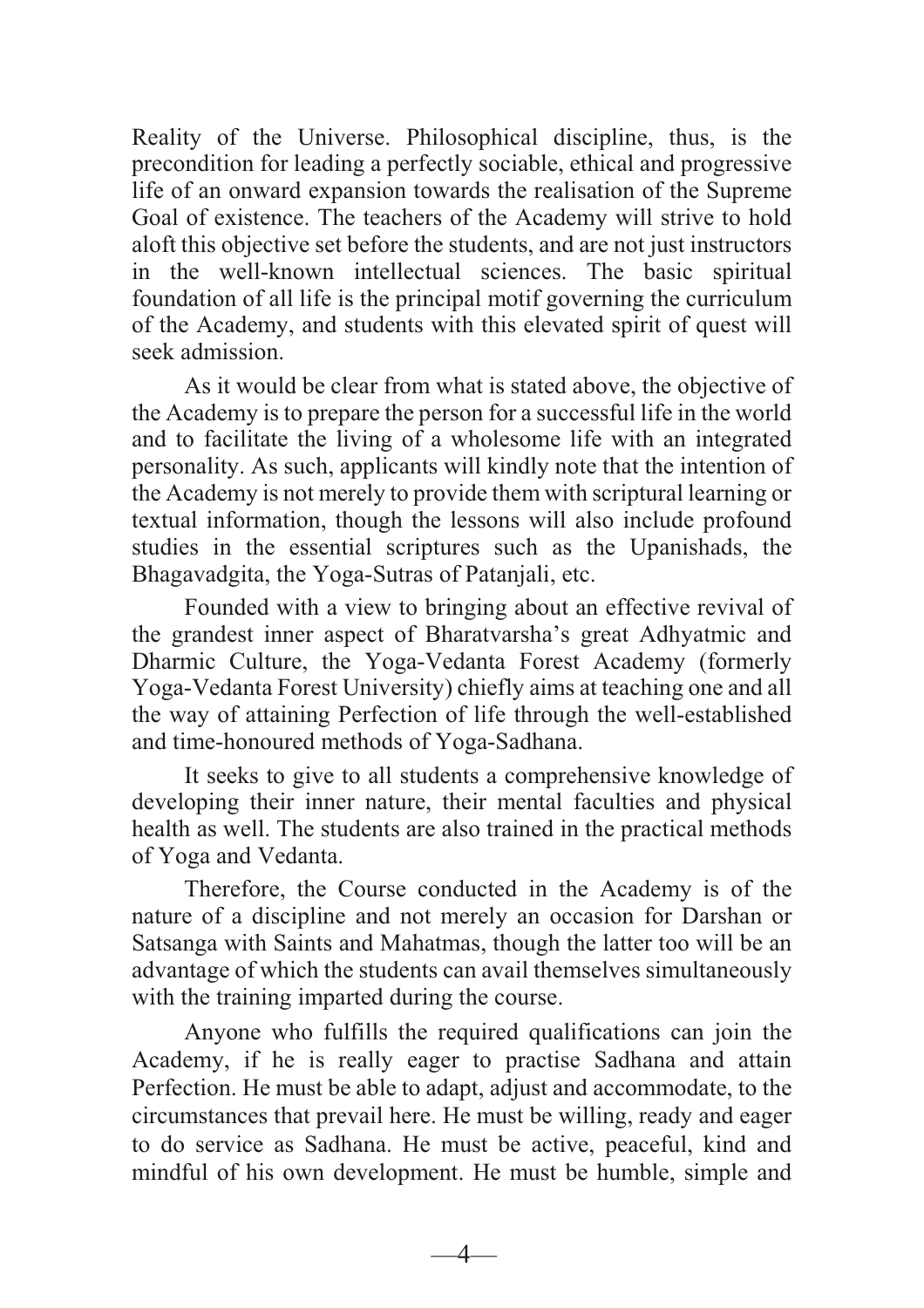Reality of the Universe. Philosophical discipline, thus, is the precondition for leading a perfectly sociable, ethical and progressive life of an onward expansion towards the realisation of the Supreme Goal of existence. The teachers of the Academy will strive to hold aloft this objective set before the students, and are not just instructors in the well-known intellectual sciences. The basic spiritual foundation of all life is the principal motif governing the curriculum of the Academy, and students with this elevated spirit of quest will seek admission.

As it would be clear from what is stated above, the objective of the Academy is to prepare the person for a successful life in the world and to facilitate the living of a wholesome life with an integrated personality. As such, applicants will kindly note that the intention of the Academy is not merely to provide them with scriptural learning or textual information, though the lessons will also include profound studies in the essential scriptures such as the Upanishads, the Bhagavadgita, the Yoga-Sutras of Patanjali, etc.

Founded with a view to bringing about an effective revival of the grandest inner aspect of Bharatvarsha's great Adhyatmic and Dharmic Culture, the Yoga-Vedanta Forest Academy (formerly Yoga-Vedanta Forest University) chiefly aims at teaching one and all the way of attaining Perfection of life through the well-established and time-honoured methods of Yoga-Sadhana.

It seeks to give to all students a comprehensive knowledge of developing their inner nature, their mental faculties and physical health as well. The students are also trained in the practical methods of Yoga and Vedanta.

Therefore, the Course conducted in the Academy is of the nature of a discipline and not merely an occasion for Darshan or Satsanga with Saints and Mahatmas, though the latter too will be an advantage of which the students can avail themselves simultaneously with the training imparted during the course.

Anyone who fulfills the required qualifications can join the Academy, if he is really eager to practise Sadhana and attain Perfection. He must be able to adapt, adjust and accommodate, to the circumstances that prevail here. He must be willing, ready and eager to do service as Sadhana. He must be active, peaceful, kind and mindful of his own development. He must be humble, simple and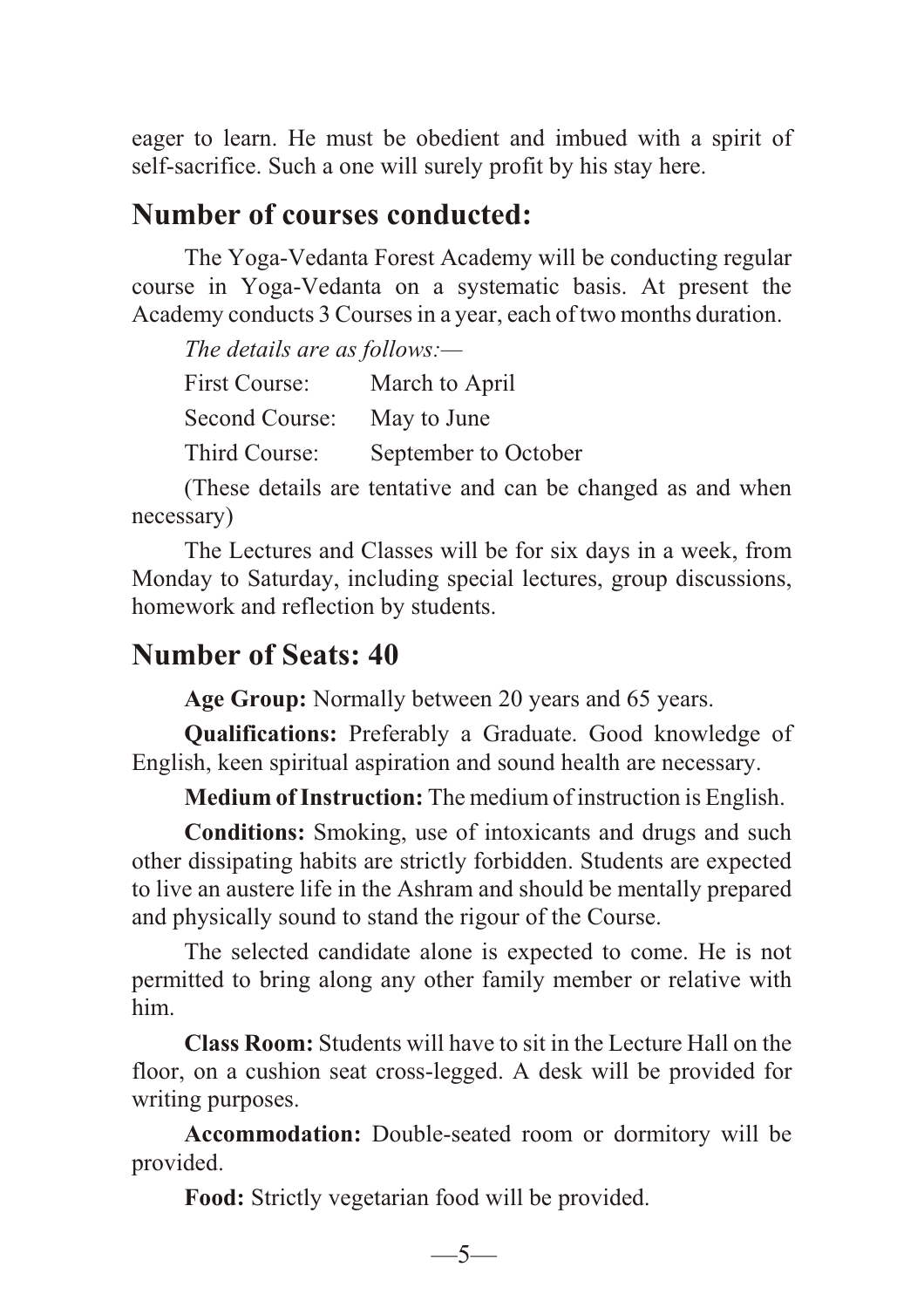eager to learn. He must be obedient and imbued with a spirit of self-sacrifice. Such a one will surely profit by his stay here.

## **Number of courses conducted:**

The Yoga-Vedanta Forest Academy will be conducting regular course in Yoga-Vedanta on a systematic basis. At present the Academy conducts 3 Courses in a year, each of two months duration.

*The details are as follows:—*

| First Course:  | March to April       |
|----------------|----------------------|
| Second Course: | May to June          |
| Third Course:  | September to October |

(These details are tentative and can be changed as and when necessary)

The Lectures and Classes will be for six days in a week, from Monday to Saturday, including special lectures, group discussions, homework and reflection by students.

# **Number of Seats: 40**

**Age Group:** Normally between 20 years and 65 years.

**Qualifications:** Preferably a Graduate. Good knowledge of English, keen spiritual aspiration and sound health are necessary.

**Medium of Instruction:** The medium of instruction is English.

**Conditions:** Smoking, use of intoxicants and drugs and such other dissipating habits are strictly forbidden. Students are expected to live an austere life in the Ashram and should be mentally prepared and physically sound to stand the rigour of the Course.

The selected candidate alone is expected to come. He is not permitted to bring along any other family member or relative with him.

**Class Room:** Students will have to sit in the Lecture Hall on the floor, on a cushion seat cross-legged. A desk will be provided for writing purposes.

**Accommodation:** Double-seated room or dormitory will be provided.

**Food:** Strictly vegetarian food will be provided.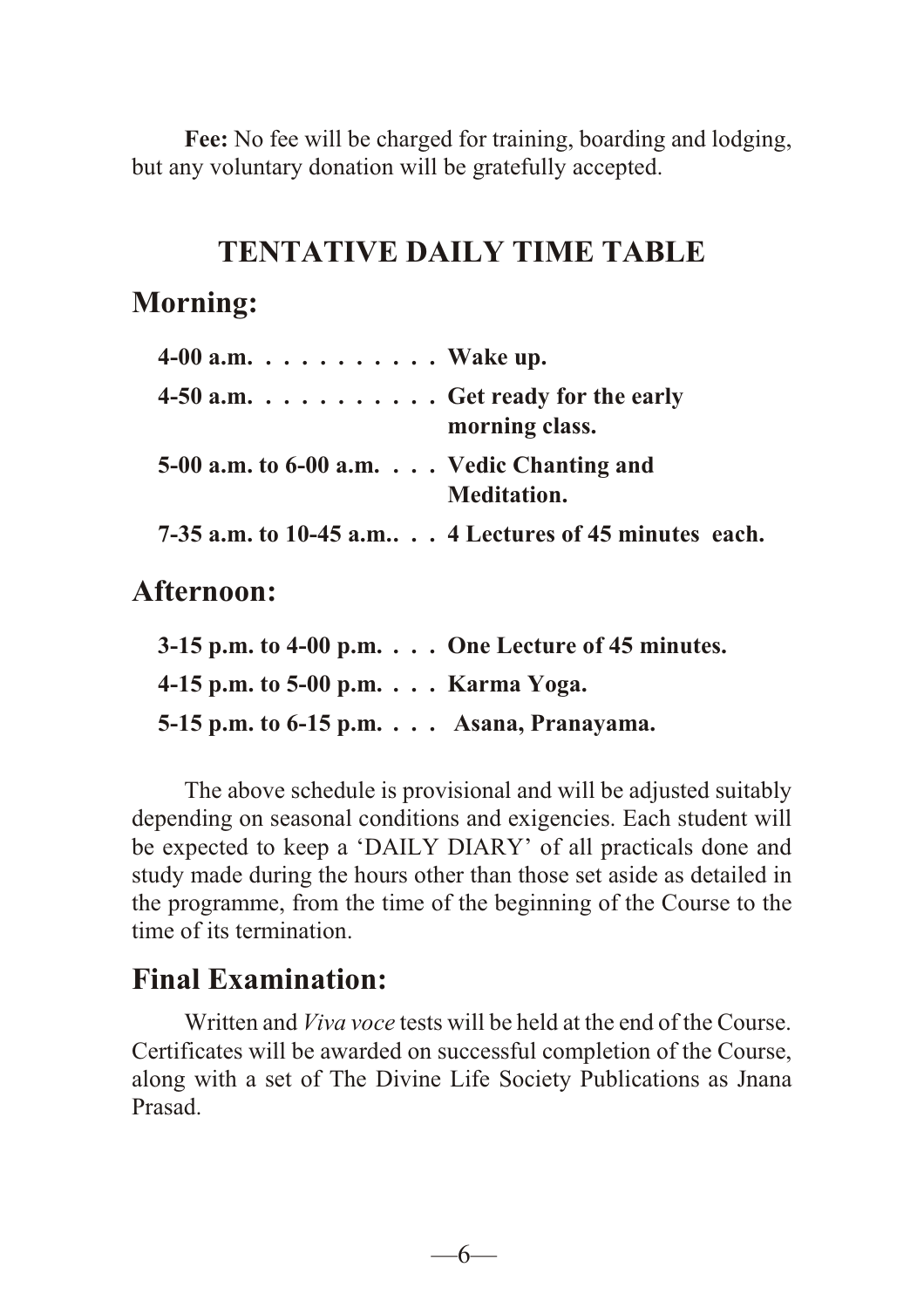Fee: No fee will be charged for training, boarding and lodging, but any voluntary donation will be gratefully accepted.

# **TENTATIVE DAILY TIME TABLE**

# **Morning:**

| $4-00$ a.m. $\ldots$ $\ldots$ $\ldots$ $\ldots$ Wake up. |                                                                    |
|----------------------------------------------------------|--------------------------------------------------------------------|
| 4-50 a.m. $\dots \dots \dots$ . Get ready for the early  | morning class.                                                     |
| 5-00 a.m. to 6-00 a.m.  Vedic Chanting and               | Meditation.                                                        |
|                                                          | 7-35 a.m. to 10-45 a.m $\therefore$ 4 Lectures of 45 minutes each. |

**Afternoon:**

|                                                     | $3-15$ p.m. to $4-00$ p.m. $\ldots$ One Lecture of 45 minutes. |
|-----------------------------------------------------|----------------------------------------------------------------|
| 4-15 p.m. to 5-00 p.m. $\ldots$ Karma Yoga.         |                                                                |
| 5-15 p.m. to $6-15$ p.m. $\ldots$ Asana, Pranayama. |                                                                |

The above schedule is provisional and will be adjusted suitably depending on seasonal conditions and exigencies. Each student will be expected to keep a 'DAILY DIARY' of all practicals done and study made during the hours other than those set aside as detailed in the programme, from the time of the beginning of the Course to the time of its termination.

# **Final Examination:**

Written and *Viva voce* tests will be held at the end of the Course. Certificates will be awarded on successful completion of the Course, along with a set of The Divine Life Society Publications as Jnana Prasad.

—6—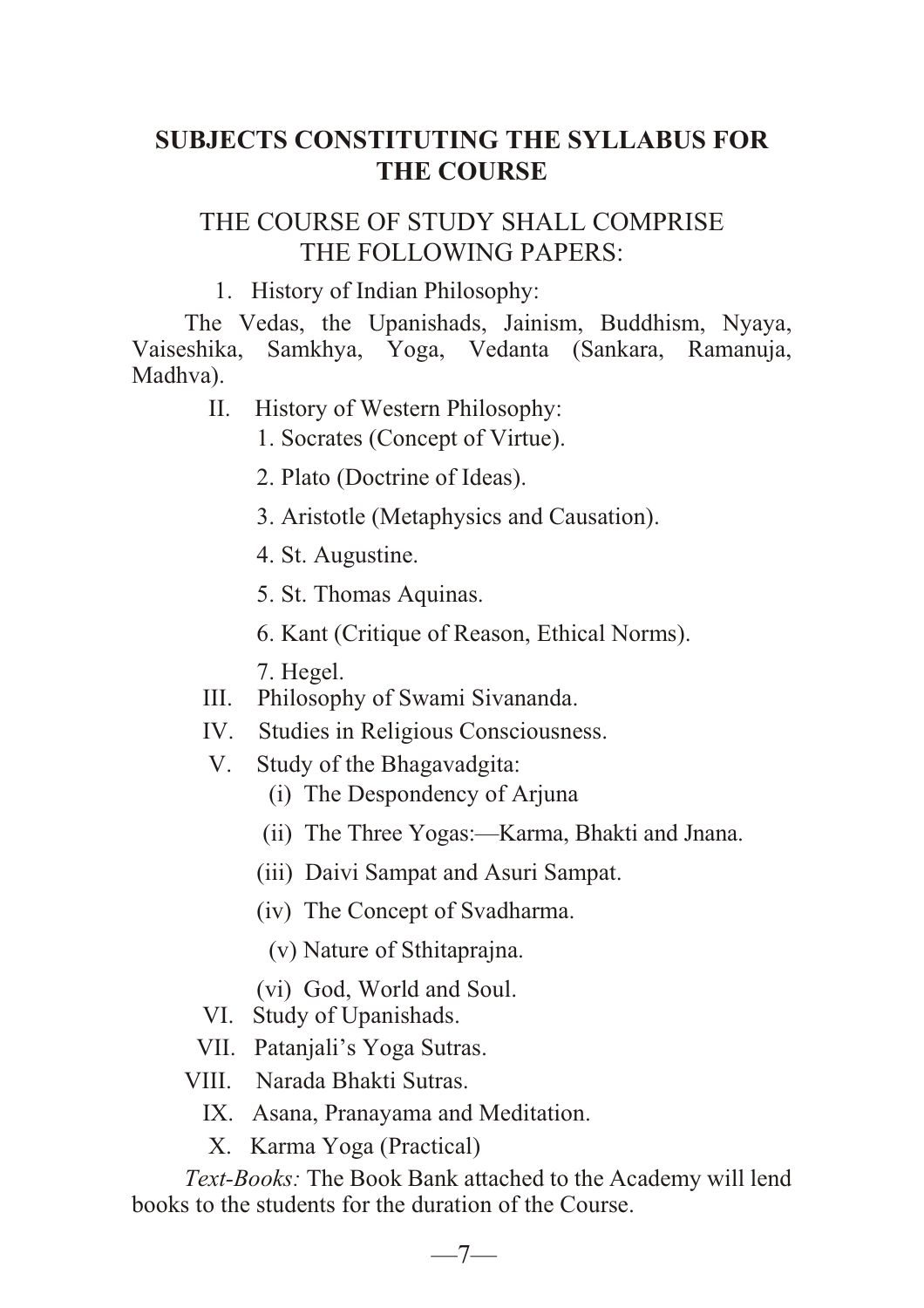### **SUBJECTS CONSTITUTING THE SYLLABUS FOR THE COURSE**

### THE COURSE OF STUDY SHALL COMPRISE THE FOLLOWING PAPERS:

1. History of Indian Philosophy:

The Vedas, the Upanishads, Jainism, Buddhism, Nyaya, Vaiseshika, Samkhya, Yoga, Vedanta (Sankara, Ramanuja, Madhva).

- II. History of Western Philosophy:
	- 1. Socrates (Concept of Virtue).
	- 2. Plato (Doctrine of Ideas).
	- 3. Aristotle (Metaphysics and Causation).
	- 4. St. Augustine.
	- 5. St. Thomas Aquinas.
	- 6. Kant (Critique of Reason, Ethical Norms).
	- 7. Hegel.
- III. Philosophy of Swami Sivananda.
- IV. Studies in Religious Consciousness.
- V. Study of the Bhagavadgita:
	- (i) The Despondency of Arjuna
	- (ii) The Three Yogas:—Karma, Bhakti and Jnana.
	- (iii) Daivi Sampat and Asuri Sampat.
	- (iv) The Concept of Svadharma.
		- (v) Nature of Sthitaprajna.
	- (vi) God, World and Soul.
- VI. Study of Upanishads.
- VII. Patanjali's Yoga Sutras.
- VIII. Narada Bhakti Sutras.
	- IX. Asana, Pranayama and Meditation.
	- X. Karma Yoga (Practical)

*Text-Books:* The Book Bank attached to the Academy will lend books to the students for the duration of the Course.